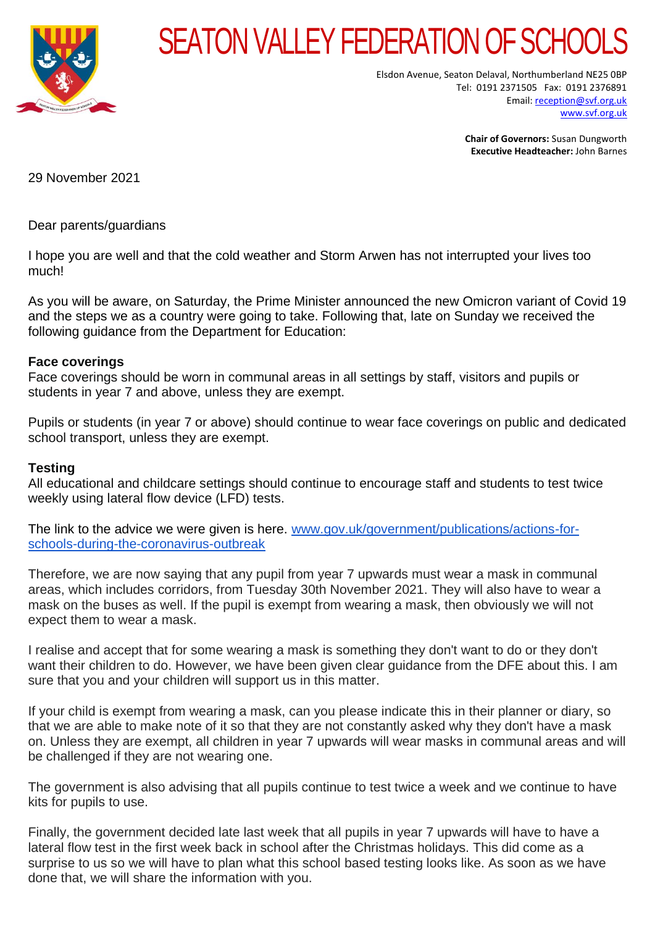

## SEATON VALLEY FEDERATION OF SCHOO

Elsdon Avenue, Seaton Delaval, Northumberland NE25 0BP Tel: 0191 2371505 Fax: 0191 2376891 Email[: reception@svf.org.uk](mailto:reception@svf.org.uk) [www.svf.org.uk](http://www.svf.org.uk/)

> **Chair of Governors:** Susan Dungworth **Executive Headteacher:** John Barnes

29 November 2021

Dear parents/guardians

I hope you are well and that the cold weather and Storm Arwen has not interrupted your lives too much!

As you will be aware, on Saturday, the Prime Minister announced the new Omicron variant of Covid 19 and the steps we as a country were going to take. Following that, late on Sunday we received the following guidance from the Department for Education:

## **Face coverings**

Face coverings should be worn in communal areas in all settings by staff, visitors and pupils or students in year 7 and above, unless they are exempt.

Pupils or students (in year 7 or above) should continue to wear face coverings on public and dedicated school transport, unless they are exempt.

## **Testing**

All educational and childcare settings should continue to encourage staff and students to test twice weekly using lateral flow device (LFD) tests.

The link to the advice we were given is here. [www.gov.uk/government/publications/actions-for](http://www.gov.uk/government/publications/actions-for-schools-during-the-coronavirus-outbreak)[schools-during-the-coronavirus-outbreak](http://www.gov.uk/government/publications/actions-for-schools-during-the-coronavirus-outbreak)

Therefore, we are now saying that any pupil from year 7 upwards must wear a mask in communal areas, which includes corridors, from Tuesday 30th November 2021. They will also have to wear a mask on the buses as well. If the pupil is exempt from wearing a mask, then obviously we will not expect them to wear a mask.

I realise and accept that for some wearing a mask is something they don't want to do or they don't want their children to do. However, we have been given clear guidance from the DFE about this. I am sure that you and your children will support us in this matter.

If your child is exempt from wearing a mask, can you please indicate this in their planner or diary, so that we are able to make note of it so that they are not constantly asked why they don't have a mask on. Unless they are exempt, all children in year 7 upwards will wear masks in communal areas and will be challenged if they are not wearing one.

The government is also advising that all pupils continue to test twice a week and we continue to have kits for pupils to use.

Finally, the government decided late last week that all pupils in year 7 upwards will have to have a lateral flow test in the first week back in school after the Christmas holidays. This did come as a surprise to us so we will have to plan what this school based testing looks like. As soon as we have done that, we will share the information with you.